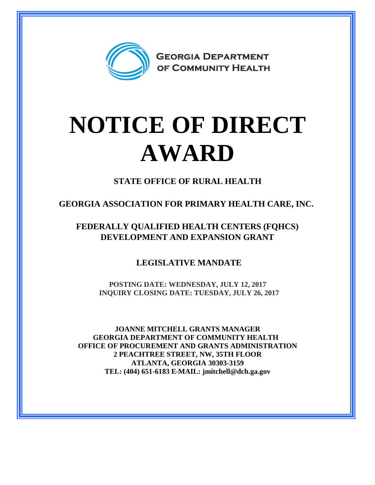

## **NOTICE OF DIRECT AWARD**

**STATE OFFICE OF RURAL HEALTH**

**GEORGIA ASSOCIATION FOR PRIMARY HEALTH CARE, INC.**

**FEDERALLY QUALIFIED HEALTH CENTERS (FQHCS) DEVELOPMENT AND EXPANSION GRANT**

**LEGISLATIVE MANDATE**

**POSTING DATE: WEDNESDAY, JULY 12, 2017 INQUIRY CLOSING DATE: TUESDAY, JULY 26, 2017**

**JOANNE MITCHELL GRANTS MANAGER GEORGIA DEPARTMENT OF COMMUNITY HEALTH OFFICE OF PROCUREMENT AND GRANTS ADMINISTRATION 2 PEACHTREE STREET, NW, 35TH FLOOR ATLANTA, GEORGIA 30303-3159 TEL: (404) 651-6183 E-MAIL: jmitchell@dch.ga.gov**